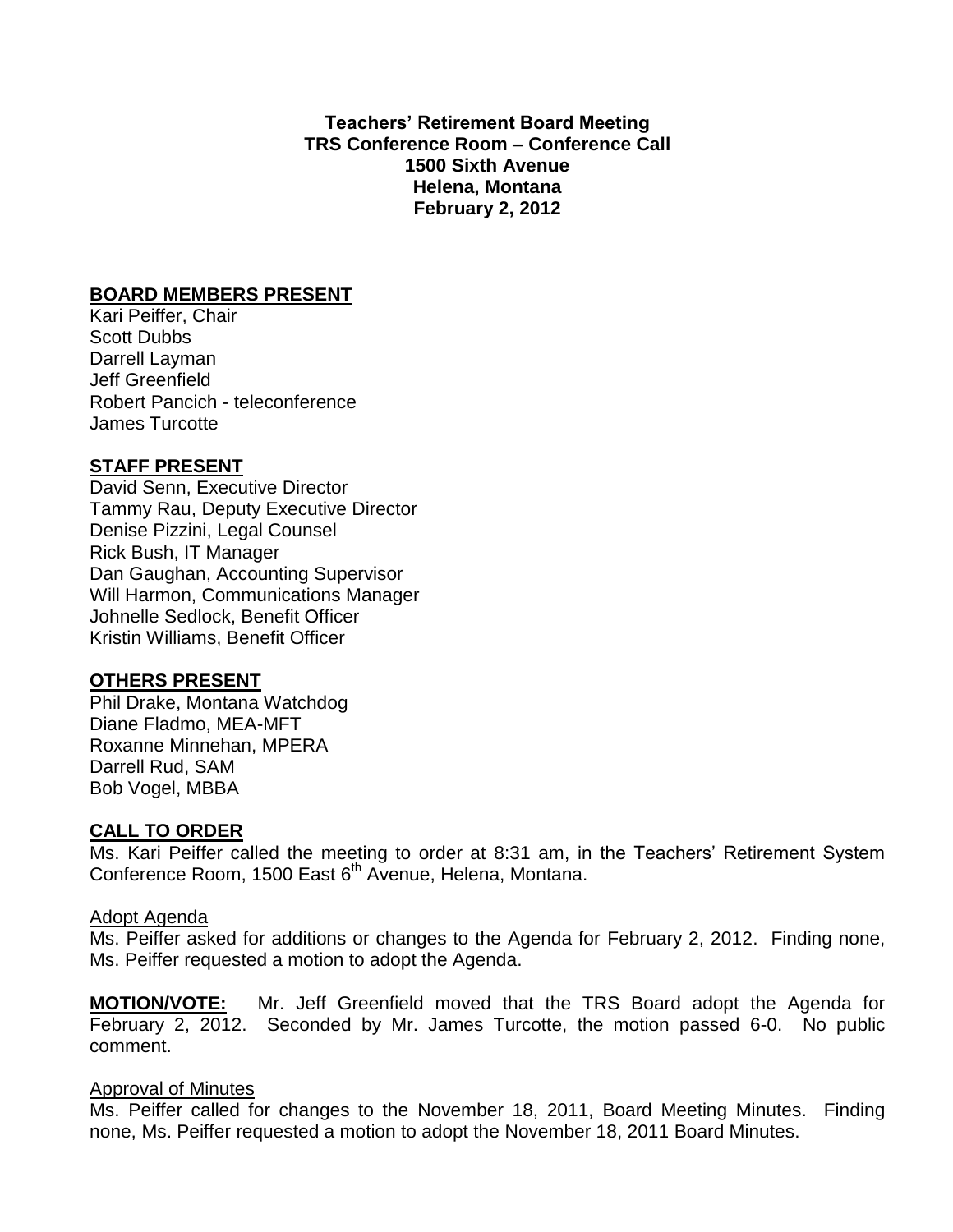**Teachers' Retirement Board Meeting TRS Conference Room – Conference Call 1500 Sixth Avenue Helena, Montana February 2, 2012**

### **BOARD MEMBERS PRESENT**

Kari Peiffer, Chair Scott Dubbs Darrell Layman Jeff Greenfield Robert Pancich - teleconference James Turcotte

# **STAFF PRESENT**

David Senn, Executive Director Tammy Rau, Deputy Executive Director Denise Pizzini, Legal Counsel Rick Bush, IT Manager Dan Gaughan, Accounting Supervisor Will Harmon, Communications Manager Johnelle Sedlock, Benefit Officer Kristin Williams, Benefit Officer

### **OTHERS PRESENT**

Phil Drake, Montana Watchdog Diane Fladmo, MEA-MFT Roxanne Minnehan, MPERA Darrell Rud, SAM Bob Vogel, MBBA

### **CALL TO ORDER**

Ms. Kari Peiffer called the meeting to order at 8:31 am, in the Teachers' Retirement System Conference Room, 1500 East 6<sup>th</sup> Avenue, Helena, Montana.

### Adopt Agenda

Ms. Peiffer asked for additions or changes to the Agenda for February 2, 2012. Finding none, Ms. Peiffer requested a motion to adopt the Agenda.

**MOTION/VOTE:** Mr. Jeff Greenfield moved that the TRS Board adopt the Agenda for February 2, 2012. Seconded by Mr. James Turcotte, the motion passed 6-0. No public comment.

### Approval of Minutes

Ms. Peiffer called for changes to the November 18, 2011, Board Meeting Minutes. Finding none, Ms. Peiffer requested a motion to adopt the November 18, 2011 Board Minutes.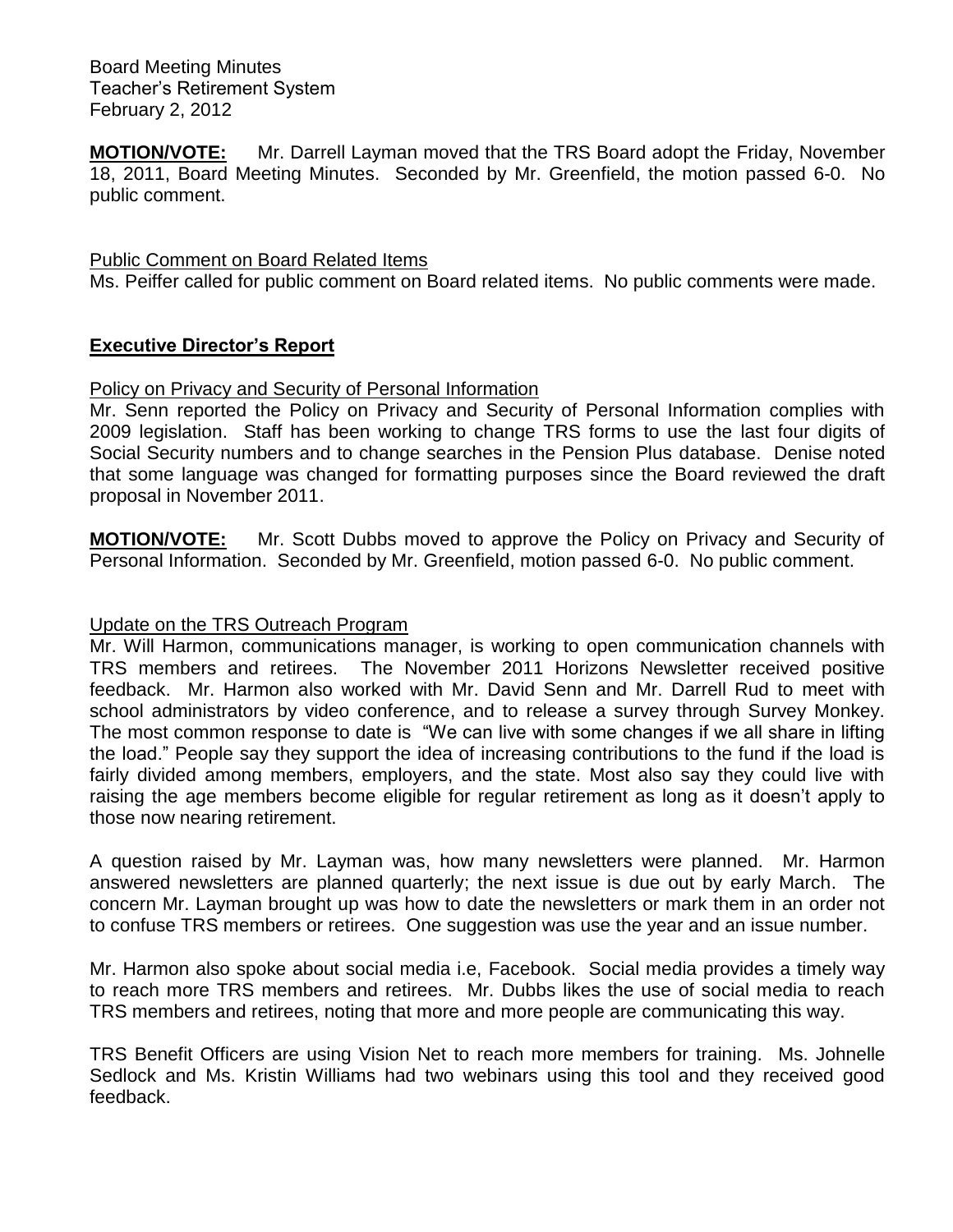**MOTION/VOTE:** Mr. Darrell Layman moved that the TRS Board adopt the Friday, November 18, 2011, Board Meeting Minutes. Seconded by Mr. Greenfield, the motion passed 6-0. No public comment.

### Public Comment on Board Related Items

Ms. Peiffer called for public comment on Board related items. No public comments were made.

# **Executive Director's Report**

### Policy on Privacy and Security of Personal Information

Mr. Senn reported the Policy on Privacy and Security of Personal Information complies with 2009 legislation. Staff has been working to change TRS forms to use the last four digits of Social Security numbers and to change searches in the Pension Plus database. Denise noted that some language was changed for formatting purposes since the Board reviewed the draft proposal in November 2011.

**MOTION/VOTE:** Mr. Scott Dubbs moved to approve the Policy on Privacy and Security of Personal Information. Seconded by Mr. Greenfield, motion passed 6-0. No public comment.

### Update on the TRS Outreach Program

Mr. Will Harmon, communications manager, is working to open communication channels with TRS members and retirees. The November 2011 Horizons Newsletter received positive feedback. Mr. Harmon also worked with Mr. David Senn and Mr. Darrell Rud to meet with school administrators by video conference, and to release a survey through Survey Monkey. The most common response to date is "We can live with some changes if we all share in lifting the load." People say they support the idea of increasing contributions to the fund if the load is fairly divided among members, employers, and the state. Most also say they could live with raising the age members become eligible for regular retirement as long as it doesn't apply to those now nearing retirement.

A question raised by Mr. Layman was, how many newsletters were planned. Mr. Harmon answered newsletters are planned quarterly; the next issue is due out by early March. The concern Mr. Layman brought up was how to date the newsletters or mark them in an order not to confuse TRS members or retirees. One suggestion was use the year and an issue number.

Mr. Harmon also spoke about social media i.e, Facebook. Social media provides a timely way to reach more TRS members and retirees. Mr. Dubbs likes the use of social media to reach TRS members and retirees, noting that more and more people are communicating this way.

TRS Benefit Officers are using Vision Net to reach more members for training. Ms. Johnelle Sedlock and Ms. Kristin Williams had two webinars using this tool and they received good feedback.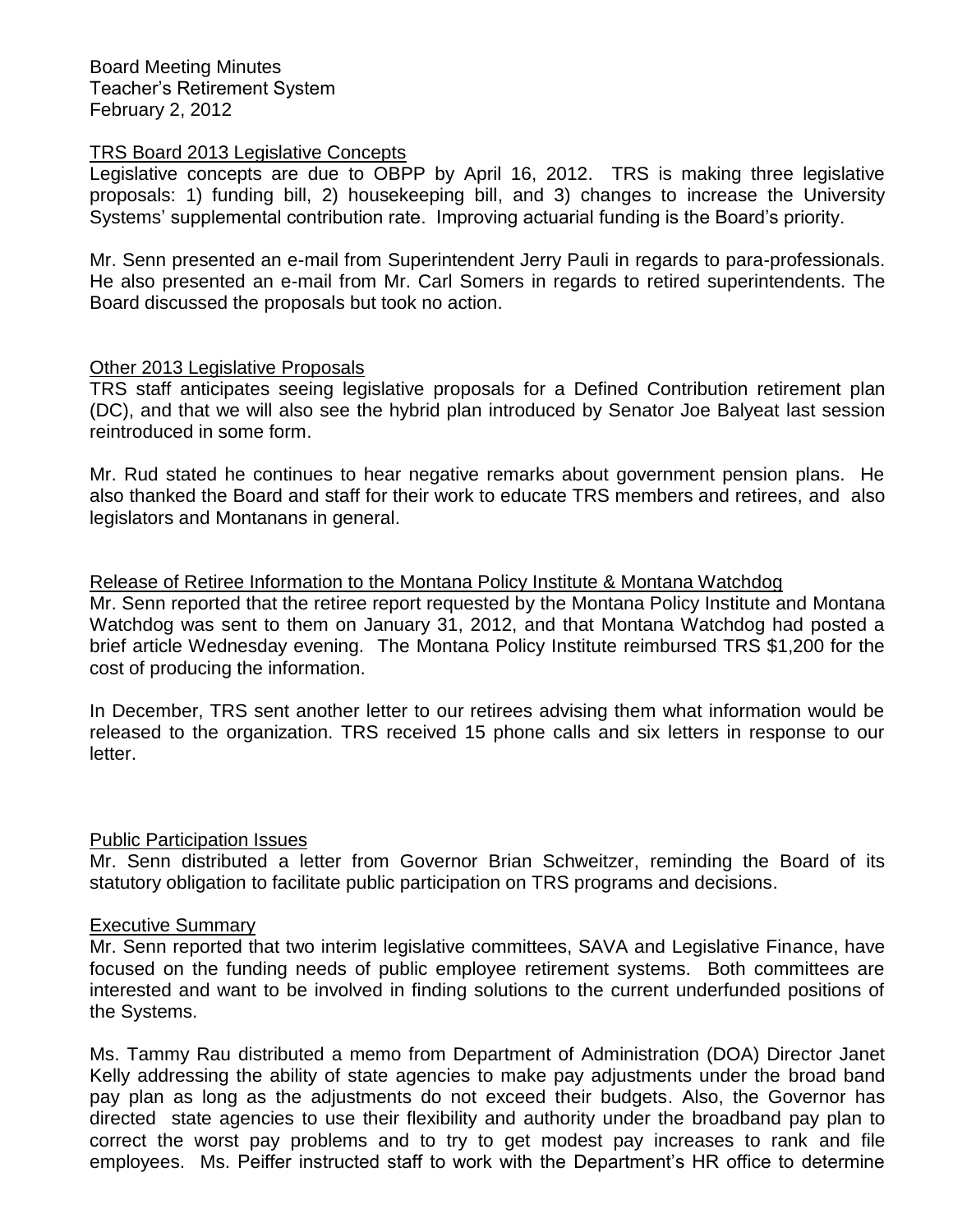#### TRS Board 2013 Legislative Concepts

Legislative concepts are due to OBPP by April 16, 2012. TRS is making three legislative proposals: 1) funding bill, 2) housekeeping bill, and 3) changes to increase the University Systems' supplemental contribution rate. Improving actuarial funding is the Board's priority.

Mr. Senn presented an e-mail from Superintendent Jerry Pauli in regards to para-professionals. He also presented an e-mail from Mr. Carl Somers in regards to retired superintendents. The Board discussed the proposals but took no action.

### Other 2013 Legislative Proposals

TRS staff anticipates seeing legislative proposals for a Defined Contribution retirement plan (DC), and that we will also see the hybrid plan introduced by Senator Joe Balyeat last session reintroduced in some form.

Mr. Rud stated he continues to hear negative remarks about government pension plans. He also thanked the Board and staff for their work to educate TRS members and retirees, and also legislators and Montanans in general.

### Release of Retiree Information to the Montana Policy Institute & Montana Watchdog

Mr. Senn reported that the retiree report requested by the Montana Policy Institute and Montana Watchdog was sent to them on January 31, 2012, and that Montana Watchdog had posted a brief article Wednesday evening. The Montana Policy Institute reimbursed TRS \$1,200 for the cost of producing the information.

In December, TRS sent another letter to our retirees advising them what information would be released to the organization. TRS received 15 phone calls and six letters in response to our letter.

### Public Participation Issues

Mr. Senn distributed a letter from Governor Brian Schweitzer, reminding the Board of its statutory obligation to facilitate public participation on TRS programs and decisions.

### Executive Summary

Mr. Senn reported that two interim legislative committees, SAVA and Legislative Finance, have focused on the funding needs of public employee retirement systems. Both committees are interested and want to be involved in finding solutions to the current underfunded positions of the Systems.

Ms. Tammy Rau distributed a memo from Department of Administration (DOA) Director Janet Kelly addressing the ability of state agencies to make pay adjustments under the broad band pay plan as long as the adjustments do not exceed their budgets. Also, the Governor has directed state agencies to use their flexibility and authority under the broadband pay plan to correct the worst pay problems and to try to get modest pay increases to rank and file employees. Ms. Peiffer instructed staff to work with the Department's HR office to determine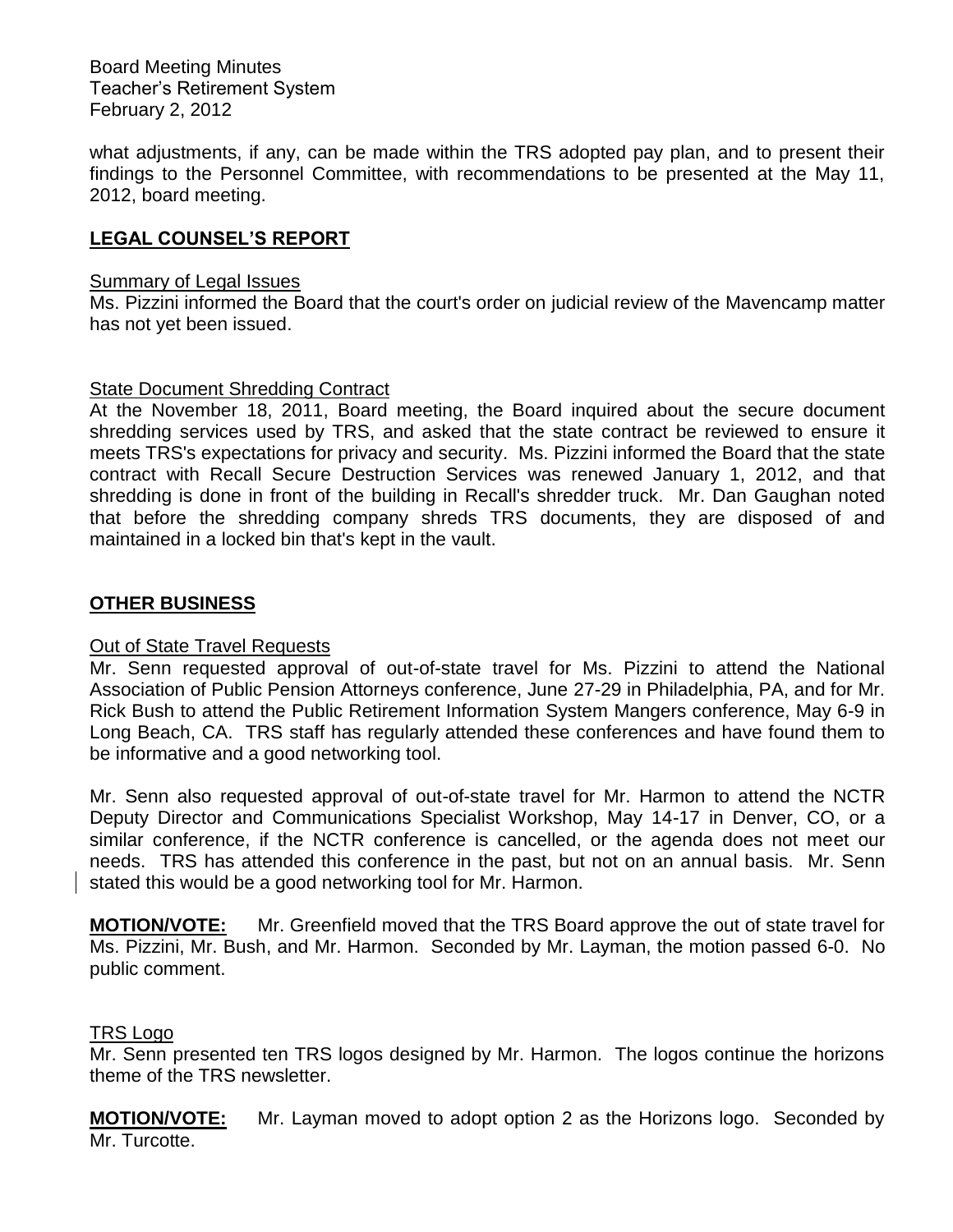what adjustments, if any, can be made within the TRS adopted pay plan, and to present their findings to the Personnel Committee, with recommendations to be presented at the May 11, 2012, board meeting.

## **LEGAL COUNSEL'S REPORT**

#### Summary of Legal Issues

Ms. Pizzini informed the Board that the court's order on judicial review of the Mavencamp matter has not yet been issued.

### State Document Shredding Contract

At the November 18, 2011, Board meeting, the Board inquired about the secure document shredding services used by TRS, and asked that the state contract be reviewed to ensure it meets TRS's expectations for privacy and security. Ms. Pizzini informed the Board that the state contract with Recall Secure Destruction Services was renewed January 1, 2012, and that shredding is done in front of the building in Recall's shredder truck. Mr. Dan Gaughan noted that before the shredding company shreds TRS documents, they are disposed of and maintained in a locked bin that's kept in the vault.

### **OTHER BUSINESS**

### Out of State Travel Requests

Mr. Senn requested approval of out-of-state travel for Ms. Pizzini to attend the National Association of Public Pension Attorneys conference, June 27-29 in Philadelphia, PA, and for Mr. Rick Bush to attend the Public Retirement Information System Mangers conference, May 6-9 in Long Beach, CA. TRS staff has regularly attended these conferences and have found them to be informative and a good networking tool.

Mr. Senn also requested approval of out-of-state travel for Mr. Harmon to attend the NCTR Deputy Director and Communications Specialist Workshop, May 14-17 in Denver, CO, or a similar conference, if the NCTR conference is cancelled, or the agenda does not meet our needs. TRS has attended this conference in the past, but not on an annual basis. Mr. Senn stated this would be a good networking tool for Mr. Harmon.

**MOTION/VOTE:** Mr. Greenfield moved that the TRS Board approve the out of state travel for Ms. Pizzini, Mr. Bush, and Mr. Harmon. Seconded by Mr. Layman, the motion passed 6-0. No public comment.

### TRS Logo

Mr. Senn presented ten TRS logos designed by Mr. Harmon. The logos continue the horizons theme of the TRS newsletter.

**MOTION/VOTE:** Mr. Layman moved to adopt option 2 as the Horizons logo. Seconded by Mr. Turcotte.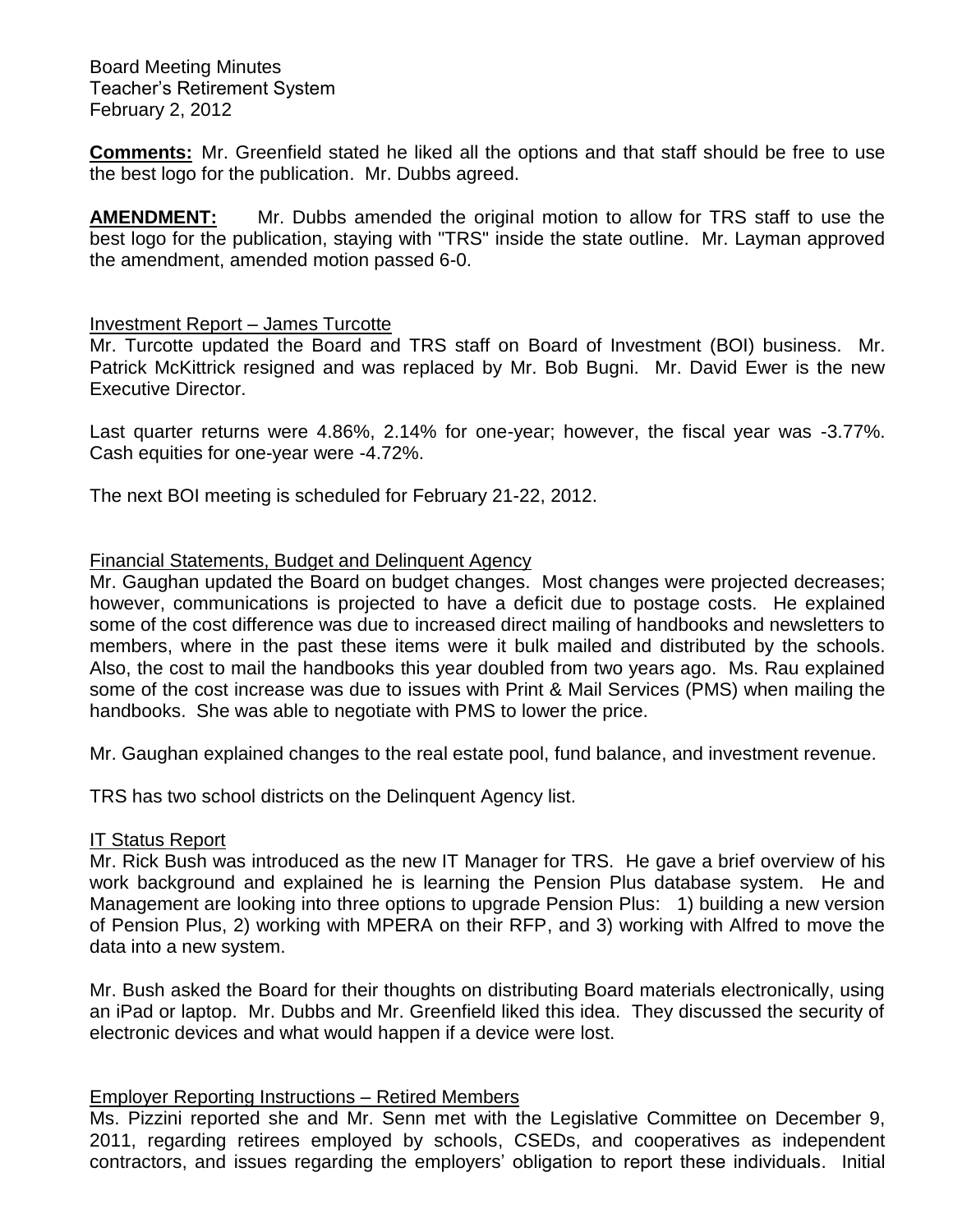**Comments:** Mr. Greenfield stated he liked all the options and that staff should be free to use the best logo for the publication. Mr. Dubbs agreed.

**AMENDMENT:** Mr. Dubbs amended the original motion to allow for TRS staff to use the best logo for the publication, staying with "TRS" inside the state outline. Mr. Layman approved the amendment, amended motion passed 6-0.

### Investment Report – James Turcotte

Mr. Turcotte updated the Board and TRS staff on Board of Investment (BOI) business. Mr. Patrick McKittrick resigned and was replaced by Mr. Bob Bugni. Mr. David Ewer is the new Executive Director.

Last quarter returns were 4.86%, 2.14% for one-year; however, the fiscal year was -3.77%. Cash equities for one-year were -4.72%.

The next BOI meeting is scheduled for February 21-22, 2012.

### Financial Statements, Budget and Delinquent Agency

Mr. Gaughan updated the Board on budget changes. Most changes were projected decreases; however, communications is projected to have a deficit due to postage costs. He explained some of the cost difference was due to increased direct mailing of handbooks and newsletters to members, where in the past these items were it bulk mailed and distributed by the schools. Also, the cost to mail the handbooks this year doubled from two years ago. Ms. Rau explained some of the cost increase was due to issues with Print & Mail Services (PMS) when mailing the handbooks. She was able to negotiate with PMS to lower the price.

Mr. Gaughan explained changes to the real estate pool, fund balance, and investment revenue.

TRS has two school districts on the Delinquent Agency list.

### IT Status Report

Mr. Rick Bush was introduced as the new IT Manager for TRS. He gave a brief overview of his work background and explained he is learning the Pension Plus database system. He and Management are looking into three options to upgrade Pension Plus: 1) building a new version of Pension Plus, 2) working with MPERA on their RFP, and 3) working with Alfred to move the data into a new system.

Mr. Bush asked the Board for their thoughts on distributing Board materials electronically, using an iPad or laptop. Mr. Dubbs and Mr. Greenfield liked this idea. They discussed the security of electronic devices and what would happen if a device were lost.

### Employer Reporting Instructions – Retired Members

Ms. Pizzini reported she and Mr. Senn met with the Legislative Committee on December 9, 2011, regarding retirees employed by schools, CSEDs, and cooperatives as independent contractors, and issues regarding the employers' obligation to report these individuals. Initial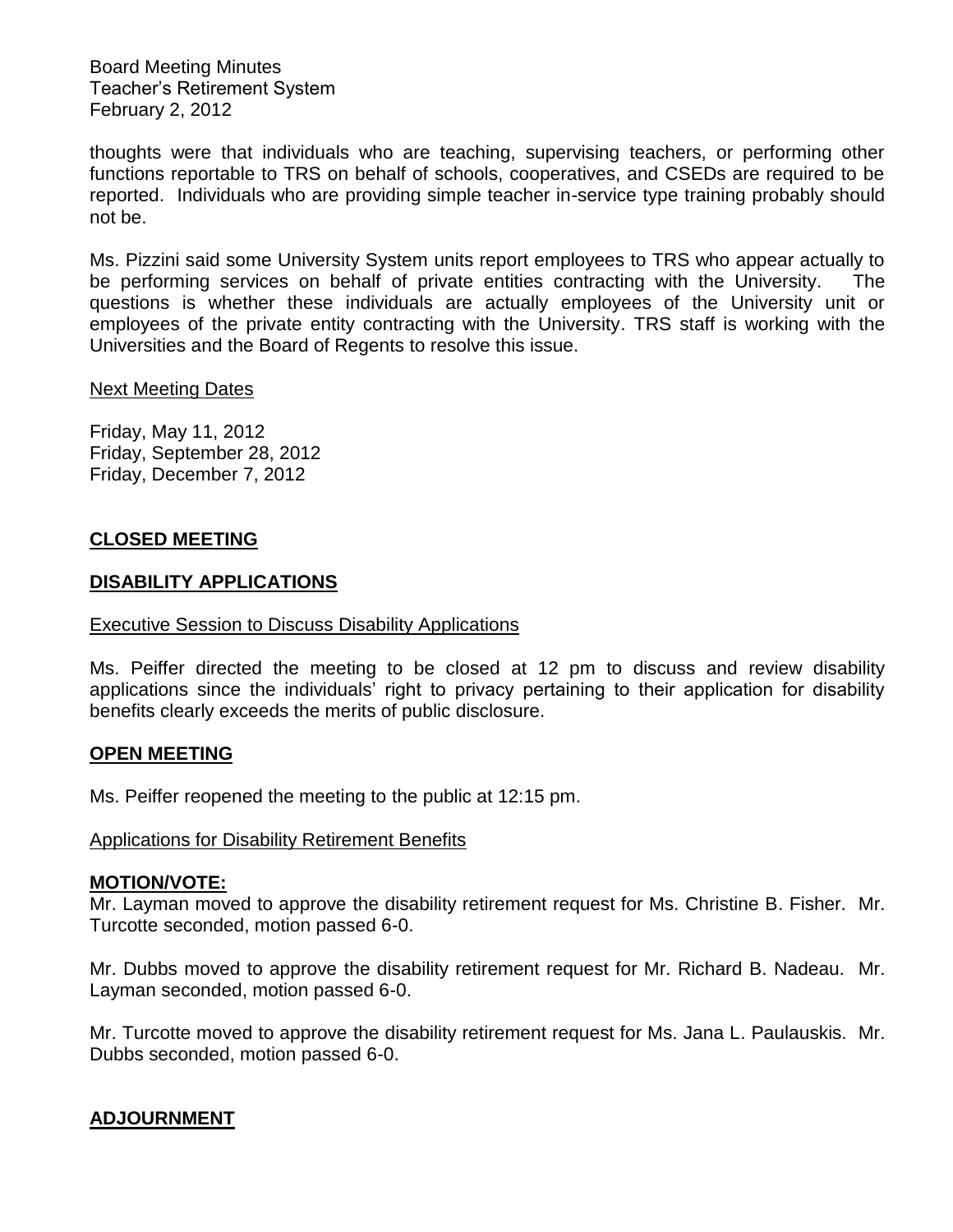thoughts were that individuals who are teaching, supervising teachers, or performing other functions reportable to TRS on behalf of schools, cooperatives, and CSEDs are required to be reported. Individuals who are providing simple teacher in-service type training probably should not be.

Ms. Pizzini said some University System units report employees to TRS who appear actually to be performing services on behalf of private entities contracting with the University. The questions is whether these individuals are actually employees of the University unit or employees of the private entity contracting with the University. TRS staff is working with the Universities and the Board of Regents to resolve this issue.

### Next Meeting Dates

Friday, May 11, 2012 Friday, September 28, 2012 Friday, December 7, 2012

### **CLOSED MEETING**

### **DISABILITY APPLICATIONS**

### Executive Session to Discuss Disability Applications

Ms. Peiffer directed the meeting to be closed at 12 pm to discuss and review disability applications since the individuals' right to privacy pertaining to their application for disability benefits clearly exceeds the merits of public disclosure.

### **OPEN MEETING**

Ms. Peiffer reopened the meeting to the public at 12:15 pm.

### Applications for Disability Retirement Benefits

#### **MOTION/VOTE:**

Mr. Layman moved to approve the disability retirement request for Ms. Christine B. Fisher. Mr. Turcotte seconded, motion passed 6-0.

Mr. Dubbs moved to approve the disability retirement request for Mr. Richard B. Nadeau. Mr. Layman seconded, motion passed 6-0.

Mr. Turcotte moved to approve the disability retirement request for Ms. Jana L. Paulauskis. Mr. Dubbs seconded, motion passed 6-0.

### **ADJOURNMENT**